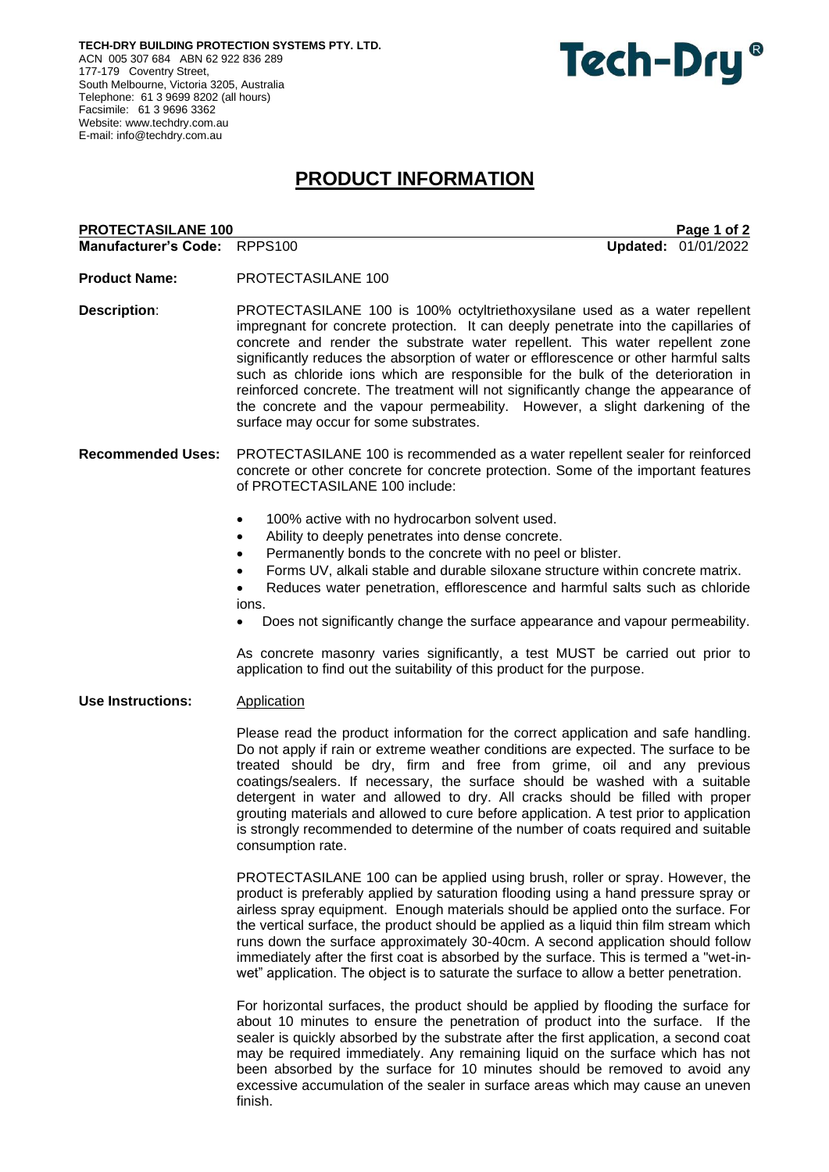**TECH-DRY BUILDING PROTECTION SYSTEMS PTY. LTD.** ACN 005 307 684 ABN 62 922 836 289 177-179 Coventry Street, South Melbourne, Victoria 3205, Australia Telephone: 61 3 9699 8202 (all hours) Facsimile: 61 3 9696 3362 Website: [www.techdry.com.au](http://www.techdry.com.au/) E-mail: [info@techdry.com.au](mailto:info@techdry.com.au)

# Tech-Dry<sup>®</sup>

## **PRODUCT INFORMATION**

### **PROTECTASILANE 100** PAGE 100 PAGE 100 PAGE 100 PAGE 100 PAGE 100 PAGE 101 2 **Manufacturer's Code:** RPPS100 **Updated:** 01/01/2022 **Product Name:** PROTECTASILANE 100 **Description**: PROTECTASILANE 100 is 100% octyltriethoxysilane used as a water repellent impregnant for concrete protection. It can deeply penetrate into the capillaries of concrete and render the substrate water repellent. This water repellent zone significantly reduces the absorption of water or efflorescence or other harmful salts such as chloride ions which are responsible for the bulk of the deterioration in reinforced concrete. The treatment will not significantly change the appearance of the concrete and the vapour permeability. However, a slight darkening of the surface may occur for some substrates. **Recommended Uses:** PROTECTASILANE 100 is recommended as a water repellent sealer for reinforced concrete or other concrete for concrete protection. Some of the important features of PROTECTASILANE 100 include:

- 100% active with no hydrocarbon solvent used.
- Ability to deeply penetrates into dense concrete.
- Permanently bonds to the concrete with no peel or blister.
- Forms UV, alkali stable and durable siloxane structure within concrete matrix.

• Reduces water penetration, efflorescence and harmful salts such as chloride ions.

• Does not significantly change the surface appearance and vapour permeability.

As concrete masonry varies significantly, a test MUST be carried out prior to application to find out the suitability of this product for the purpose.

**Use Instructions:** Application

Please read the product information for the correct application and safe handling. Do not apply if rain or extreme weather conditions are expected. The surface to be treated should be dry, firm and free from grime, oil and any previous coatings/sealers. If necessary, the surface should be washed with a suitable detergent in water and allowed to dry. All cracks should be filled with proper grouting materials and allowed to cure before application. A test prior to application is strongly recommended to determine of the number of coats required and suitable consumption rate.

PROTECTASILANE 100 can be applied using brush, roller or spray. However, the product is preferably applied by saturation flooding using a hand pressure spray or airless spray equipment. Enough materials should be applied onto the surface. For the vertical surface, the product should be applied as a liquid thin film stream which runs down the surface approximately 30-40cm. A second application should follow immediately after the first coat is absorbed by the surface. This is termed a "wet-inwet" application. The object is to saturate the surface to allow a better penetration.

For horizontal surfaces, the product should be applied by flooding the surface for about 10 minutes to ensure the penetration of product into the surface. If the sealer is quickly absorbed by the substrate after the first application, a second coat may be required immediately. Any remaining liquid on the surface which has not been absorbed by the surface for 10 minutes should be removed to avoid any excessive accumulation of the sealer in surface areas which may cause an uneven finish.